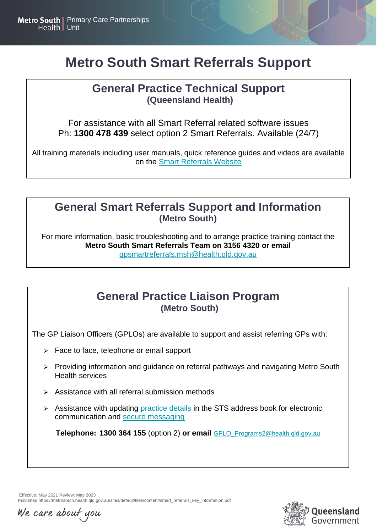## **Metro South Smart Referrals Support**

### **General Practice Technical Support (Queensland Health)**

For assistance with all Smart Referral related software issues Ph: **1300 478 439** select option 2 Smart Referrals. Available (24/7)

All training materials including user manuals, quick reference guides and videos are available on the [Smart Referrals Website](https://www.health.qld.gov.au/smartreferrals)

## **General Smart Referrals Support and Information (Metro South)**

For more information, basic troubleshooting and to arrange practice training contact the **Metro South Smart Referrals Team on 3156 4320 or email** [gpsmartreferrals.msh@health.qld.gov.au](mailto:gpsmartreferrals.msh@health.qld.gov.au)

## **General Practice Liaison Program (Metro South)**

The GP Liaison Officers (GPLOs) are available to support and assist referring GPs with:

- $\triangleright$  Face to face, telephone or email support
- ➢ Providing information and guidance on referral pathways and navigating Metro South Health services
- ➢ Assistance with all referral submission methods
- ➢ Assistance with updating [practice details](https://metrosouth.health.qld.gov.au/referrals/update-your-practice-details) in the STS address book for electronic communication and [secure messaging](https://metrosouth.health.qld.gov.au/referrals/secure-messaging)

**Telephone: 1300 364 155** (option 2) **or email** [GPLO\\_Programs2@health.qld.gov.au](mailto:GPLO_Programs2@health.qld.gov.au)